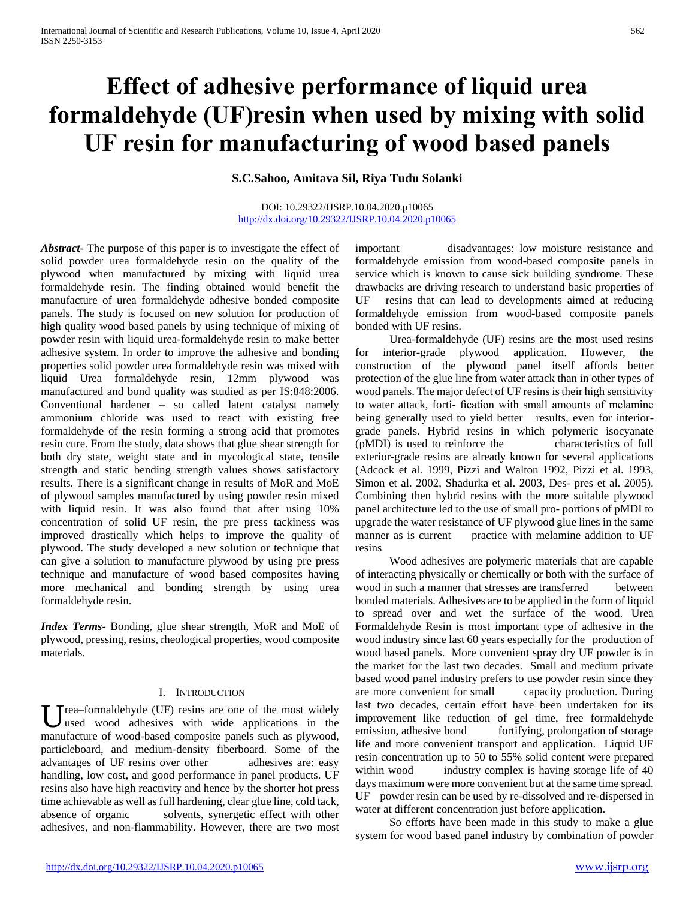# **Effect of adhesive performance of liquid urea formaldehyde (UF)resin when used by mixing with solid UF resin for manufacturing of wood based panels**

**S.C.Sahoo, Amitava Sil, Riya Tudu Solanki** 

#### DOI: 10.29322/IJSRP.10.04.2020.p10065 <http://dx.doi.org/10.29322/IJSRP.10.04.2020.p10065>

*Abstract***-** The purpose of this paper is to investigate the effect of solid powder urea formaldehyde resin on the quality of the plywood when manufactured by mixing with liquid urea formaldehyde resin. The finding obtained would benefit the manufacture of urea formaldehyde adhesive bonded composite panels. The study is focused on new solution for production of high quality wood based panels by using technique of mixing of powder resin with liquid urea-formaldehyde resin to make better adhesive system. In order to improve the adhesive and bonding properties solid powder urea formaldehyde resin was mixed with liquid Urea formaldehyde resin, 12mm plywood was manufactured and bond quality was studied as per IS:848:2006. Conventional hardener – so called latent catalyst namely ammonium chloride was used to react with existing free formaldehyde of the resin forming a strong acid that promotes resin cure. From the study, data shows that glue shear strength for both dry state, weight state and in mycological state, tensile strength and static bending strength values shows satisfactory results. There is a significant change in results of MoR and MoE of plywood samples manufactured by using powder resin mixed with liquid resin. It was also found that after using  $10\%$ concentration of solid UF resin, the pre press tackiness was improved drastically which helps to improve the quality of plywood. The study developed a new solution or technique that can give a solution to manufacture plywood by using pre press technique and manufacture of wood based composites having more mechanical and bonding strength by using urea formaldehyde resin.

*Index Terms*- Bonding, glue shear strength, MoR and MoE of plywood, pressing, resins, rheological properties, wood composite materials.

## I. INTRODUCTION

 $T$ rea–formaldehyde (UF) resins are one of the most widely used wood adhesives with wide applications in the U rea–formaldehyde (UF) resins are one of the most widely used wood adhesives with wide applications in the manufacture of wood-based composite panels such as plywood, particleboard, and medium-density fiberboard. Some of the advantages of UF resins over other adhesives are: easy handling, low cost, and good performance in panel products. UF resins also have high reactivity and hence by the shorter hot press time achievable as well as full hardening, clear glue line, cold tack, absence of organic solvents, synergetic effect with other adhesives, and non-flammability. However, there are two most

important disadvantages: low moisture resistance and formaldehyde emission from wood-based composite panels in service which is known to cause sick building syndrome. These drawbacks are driving research to understand basic properties of UF resins that can lead to developments aimed at reducing formaldehyde emission from wood-based composite panels bonded with UF resins.

 Urea-formaldehyde (UF) resins are the most used resins for interior-grade plywood application. However, the construction of the plywood panel itself affords better protection of the glue line from water attack than in other types of wood panels. The major defect of UF resins is their high sensitivity to water attack, forti- fication with small amounts of melamine being generally used to yield better results, even for interiorgrade panels. Hybrid resins in which polymeric isocyanate (pMDI) is used to reinforce the characteristics of full exterior-grade resins are already known for several applications (Adcock et al. 1999, Pizzi and Walton 1992, Pizzi et al. 1993, Simon et al. 2002, Shadurka et al. 2003, Des- pres et al. 2005). Combining then hybrid resins with the more suitable plywood panel architecture led to the use of small pro- portions of pMDI to upgrade the water resistance of UF plywood glue lines in the same manner as is current practice with melamine addition to UF resins

 Wood adhesives are polymeric materials that are capable of interacting physically or chemically or both with the surface of wood in such a manner that stresses are transferred between bonded materials. Adhesives are to be applied in the form of liquid to spread over and wet the surface of the wood. Urea Formaldehyde Resin is most important type of adhesive in the wood industry since last 60 years especially for the production of wood based panels. More convenient spray dry UF powder is in the market for the last two decades. Small and medium private based wood panel industry prefers to use powder resin since they are more convenient for small capacity production. During last two decades, certain effort have been undertaken for its improvement like reduction of gel time, free formaldehyde emission, adhesive bond fortifying, prolongation of storage life and more convenient transport and application. Liquid UF resin concentration up to 50 to 55% solid content were prepared within wood industry complex is having storage life of 40 days maximum were more convenient but at the same time spread. UF powder resin can be used by re-dissolved and re-dispersed in water at different concentration just before application.

 So efforts have been made in this study to make a glue system for wood based panel industry by combination of powder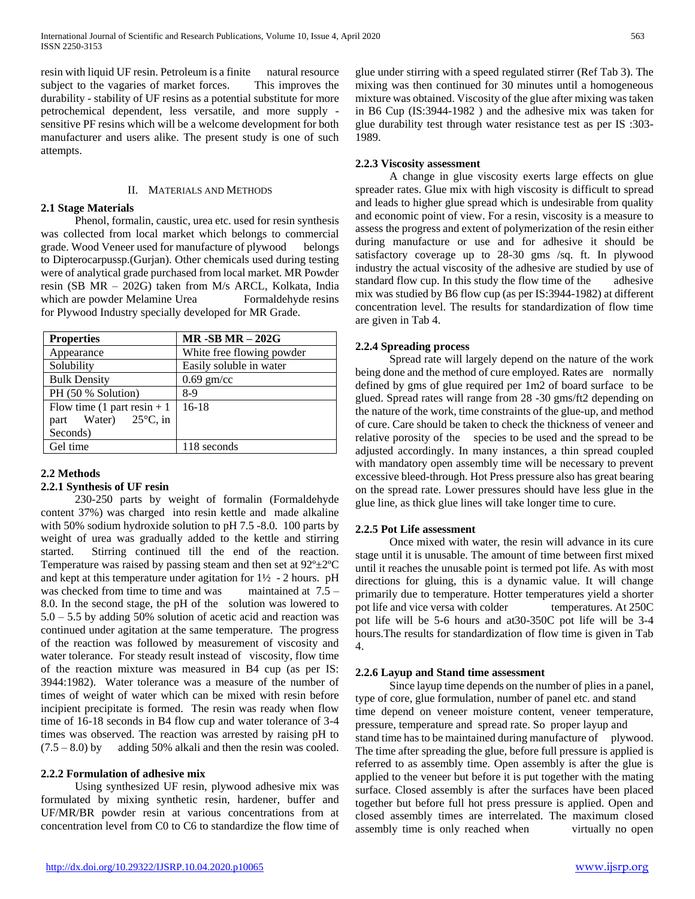resin with liquid UF resin. Petroleum is a finite natural resource subject to the vagaries of market forces. This improves the durability - stability of UF resins as a potential substitute for more petrochemical dependent, less versatile, and more supply sensitive PF resins which will be a welcome development for both manufacturer and users alike. The present study is one of such attempts.

# II. MATERIALS AND METHODS

# **2.1 Stage Materials**

 Phenol, formalin, caustic, urea etc. used for resin synthesis was collected from local market which belongs to commercial grade. Wood Veneer used for manufacture of plywood belongs to Dipterocarpussp.(Gurjan). Other chemicals used during testing were of analytical grade purchased from local market. MR Powder resin (SB MR – 202G) taken from M/s ARCL, Kolkata, India which are powder Melamine Urea Formaldehyde resins for Plywood Industry specially developed for MR Grade.

| <b>Properties</b>              | $MR - SB MR - 202G$       |
|--------------------------------|---------------------------|
| Appearance                     | White free flowing powder |
| Solubility                     | Easily soluble in water   |
| <b>Bulk Density</b>            | $0.69$ gm/cc              |
| PH (50 % Solution)             | 8-9                       |
| Flow time $(1$ part resin + 1  | $16-18$                   |
| part Water) $25^{\circ}$ C, in |                           |
| Seconds)                       |                           |
| Gel time                       | 118 seconds               |

# **2.2 Methods**

# **2.2.1 Synthesis of UF resin**

 230-250 parts by weight of formalin (Formaldehyde content 37%) was charged into resin kettle and made alkaline with 50% sodium hydroxide solution to pH 7.5 -8.0. 100 parts by weight of urea was gradually added to the kettle and stirring started. Stirring continued till the end of the reaction. Temperature was raised by passing steam and then set at  $92^{\circ} \pm 2^{\circ}$ C and kept at this temperature under agitation for  $1\frac{1}{2}$  - 2 hours. pH was checked from time to time and was maintained at 7.5 – 8.0. In the second stage, the pH of the solution was lowered to 5.0 – 5.5 by adding 50% solution of acetic acid and reaction was continued under agitation at the same temperature. The progress of the reaction was followed by measurement of viscosity and water tolerance. For steady result instead of viscosity, flow time of the reaction mixture was measured in B4 cup (as per IS: 3944:1982). Water tolerance was a measure of the number of times of weight of water which can be mixed with resin before incipient precipitate is formed. The resin was ready when flow time of 16-18 seconds in B4 flow cup and water tolerance of 3-4 times was observed. The reaction was arrested by raising pH to  $(7.5 - 8.0)$  by adding 50% alkali and then the resin was cooled.

## **2.2.2 Formulation of adhesive mix**

 Using synthesized UF resin, plywood adhesive mix was formulated by mixing synthetic resin, hardener, buffer and UF/MR/BR powder resin at various concentrations from at concentration level from C0 to C6 to standardize the flow time of glue under stirring with a speed regulated stirrer (Ref Tab 3). The mixing was then continued for 30 minutes until a homogeneous mixture was obtained. Viscosity of the glue after mixing was taken in B6 Cup (IS:3944-1982 ) and the adhesive mix was taken for glue durability test through water resistance test as per IS :303- 1989.

# **2.2.3 Viscosity assessment**

 A change in glue viscosity exerts large effects on glue spreader rates. Glue mix with high viscosity is difficult to spread and leads to higher glue spread which is undesirable from quality and economic point of view. For a resin, viscosity is a measure to assess the progress and extent of polymerization of the resin either during manufacture or use and for adhesive it should be satisfactory coverage up to 28-30 gms /sq. ft. In plywood industry the actual viscosity of the adhesive are studied by use of standard flow cup. In this study the flow time of the adhesive mix was studied by B6 flow cup (as per IS:3944-1982) at different concentration level. The results for standardization of flow time are given in Tab 4.

# **2.2.4 Spreading process**

 Spread rate will largely depend on the nature of the work being done and the method of cure employed. Rates are normally defined by gms of glue required per 1m2 of board surface to be glued. Spread rates will range from 28 -30 gms/ft2 depending on the nature of the work, time constraints of the glue-up, and method of cure. Care should be taken to check the thickness of veneer and relative porosity of the species to be used and the spread to be adjusted accordingly. In many instances, a thin spread coupled with mandatory open assembly time will be necessary to prevent excessive bleed-through. Hot Press pressure also has great bearing on the spread rate. Lower pressures should have less glue in the glue line, as thick glue lines will take longer time to cure.

## **2.2.5 Pot Life assessment**

 Once mixed with water, the resin will advance in its cure stage until it is unusable. The amount of time between first mixed until it reaches the unusable point is termed pot life. As with most directions for gluing, this is a dynamic value. It will change primarily due to temperature. Hotter temperatures yield a shorter pot life and vice versa with colder temperatures. At 250C pot life will be 5-6 hours and at30-350C pot life will be 3-4 hours.The results for standardization of flow time is given in Tab 4.

## **2.2.6 Layup and Stand time assessment**

 Since layup time depends on the number of plies in a panel, type of core, glue formulation, number of panel etc. and stand time depend on veneer moisture content, veneer temperature, pressure, temperature and spread rate. So proper layup and stand time has to be maintained during manufacture of plywood. The time after spreading the glue, before full pressure is applied is referred to as assembly time. Open assembly is after the glue is applied to the veneer but before it is put together with the mating surface. Closed assembly is after the surfaces have been placed together but before full hot press pressure is applied. Open and closed assembly times are interrelated. The maximum closed assembly time is only reached when virtually no open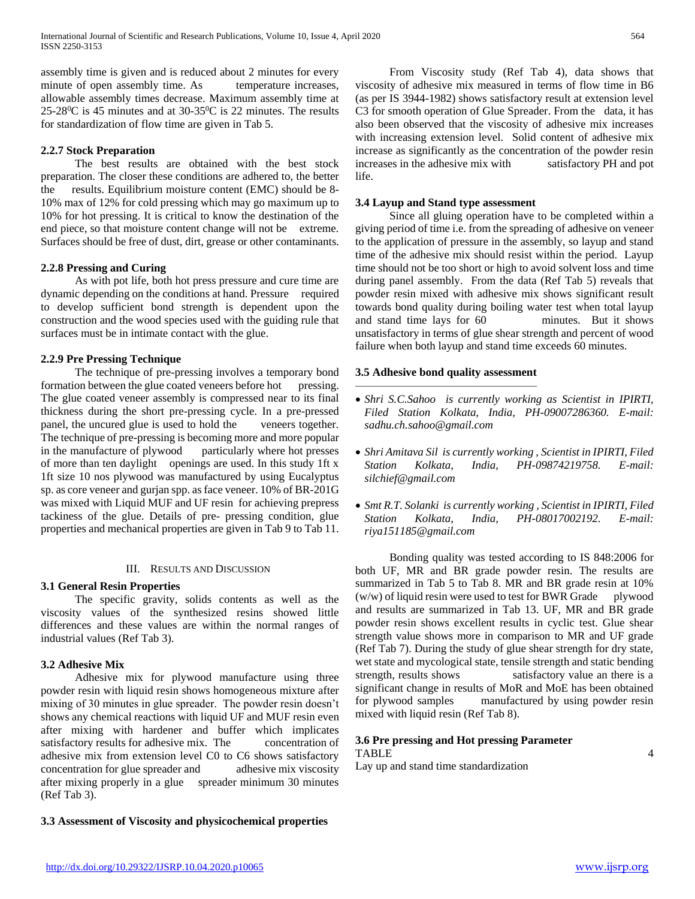assembly time is given and is reduced about 2 minutes for every minute of open assembly time. As temperature increases, allowable assembly times decrease. Maximum assembly time at  $25-28^{\circ}$ C is 45 minutes and at 30-35 $^{\circ}$ C is 22 minutes. The results for standardization of flow time are given in Tab 5.

# **2.2.7 Stock Preparation**

 The best results are obtained with the best stock preparation. The closer these conditions are adhered to, the better the results. Equilibrium moisture content (EMC) should be 8- 10% max of 12% for cold pressing which may go maximum up to 10% for hot pressing. It is critical to know the destination of the end piece, so that moisture content change will not be extreme. Surfaces should be free of dust, dirt, grease or other contaminants.

## **2.2.8 Pressing and Curing**

 As with pot life, both hot press pressure and cure time are dynamic depending on the conditions at hand. Pressure required to develop sufficient bond strength is dependent upon the construction and the wood species used with the guiding rule that surfaces must be in intimate contact with the glue.

# **2.2.9 Pre Pressing Technique**

 The technique of pre-pressing involves a temporary bond formation between the glue coated veneers before hot pressing. The glue coated veneer assembly is compressed near to its final thickness during the short pre-pressing cycle. In a pre-pressed panel, the uncured glue is used to hold the veneers together. The technique of pre-pressing is becoming more and more popular in the manufacture of plywood particularly where hot presses of more than ten daylight openings are used. In this study 1ft x 1ft size 10 nos plywood was manufactured by using Eucalyptus sp. as core veneer and gurjan spp. as face veneer. 10% of BR-201G was mixed with Liquid MUF and UF resin for achieving prepress tackiness of the glue. Details of pre- pressing condition, glue properties and mechanical properties are given in Tab 9 to Tab 11.

## III. RESULTS AND DISCUSSION

## **3.1 General Resin Properties**

 The specific gravity, solids contents as well as the viscosity values of the synthesized resins showed little differences and these values are within the normal ranges of industrial values (Ref Tab 3).

## **3.2 Adhesive Mix**

 Adhesive mix for plywood manufacture using three powder resin with liquid resin shows homogeneous mixture after mixing of 30 minutes in glue spreader. The powder resin doesn't shows any chemical reactions with liquid UF and MUF resin even after mixing with hardener and buffer which implicates satisfactory results for adhesive mix. The concentration of adhesive mix from extension level C0 to C6 shows satisfactory concentration for glue spreader and adhesive mix viscosity after mixing properly in a glue spreader minimum 30 minutes (Ref Tab 3).

**3.3 Assessment of Viscosity and physicochemical properties**

 From Viscosity study (Ref Tab 4), data shows that viscosity of adhesive mix measured in terms of flow time in B6 (as per IS 3944-1982) shows satisfactory result at extension level C3 for smooth operation of Glue Spreader. From the data, it has also been observed that the viscosity of adhesive mix increases with increasing extension level. Solid content of adhesive mix increase as significantly as the concentration of the powder resin increases in the adhesive mix with satisfactory PH and pot life.

# **3.4 Layup and Stand type assessment**

 Since all gluing operation have to be completed within a giving period of time i.e. from the spreading of adhesive on veneer to the application of pressure in the assembly, so layup and stand time of the adhesive mix should resist within the period. Layup time should not be too short or high to avoid solvent loss and time during panel assembly. From the data (Ref Tab 5) reveals that powder resin mixed with adhesive mix shows significant result towards bond quality during boiling water test when total layup and stand time lays for 60 minutes. But it shows unsatisfactory in terms of glue shear strength and percent of wood failure when both layup and stand time exceeds 60 minutes.

# **3.5 Adhesive bond quality assessment**  $\frac{1}{\sqrt{2}}$  , where  $\frac{1}{\sqrt{2}}$  , where  $\frac{1}{\sqrt{2}}$  , where  $\frac{1}{\sqrt{2}}$  , where  $\frac{1}{\sqrt{2}}$

- *Shri S.C.Sahoo is currently working as Scientist in IPIRTI, Filed Station Kolkata, India, PH-09007286360. E-mail: sadhu.ch.sahoo@gmail.com*
- *Shri Amitava Sil is currently working , Scientist in IPIRTI, Filed Station Kolkata, India, PH-09874219758. E-mail: silchief@gmail.com*
- *Smt R.T. Solanki is currently working , Scientist in IPIRTI, Filed Station Kolkata, India, PH-08017002192. E-mail: riya151185@gmail.com*

 Bonding quality was tested according to IS 848:2006 for both UF, MR and BR grade powder resin. The results are summarized in Tab 5 to Tab 8. MR and BR grade resin at 10%  $(w/w)$  of liquid resin were used to test for BWR Grade plywood and results are summarized in Tab 13. UF, MR and BR grade powder resin shows excellent results in cyclic test. Glue shear strength value shows more in comparison to MR and UF grade (Ref Tab 7). During the study of glue shear strength for dry state, wet state and mycological state, tensile strength and static bending strength, results shows satisfactory value an there is a significant change in results of MoR and MoE has been obtained for plywood samples manufactured by using powder resin mixed with liquid resin (Ref Tab 8).

# **3.6 Pre pressing and Hot pressing Parameter** TABLE 4

Lay up and stand time standardization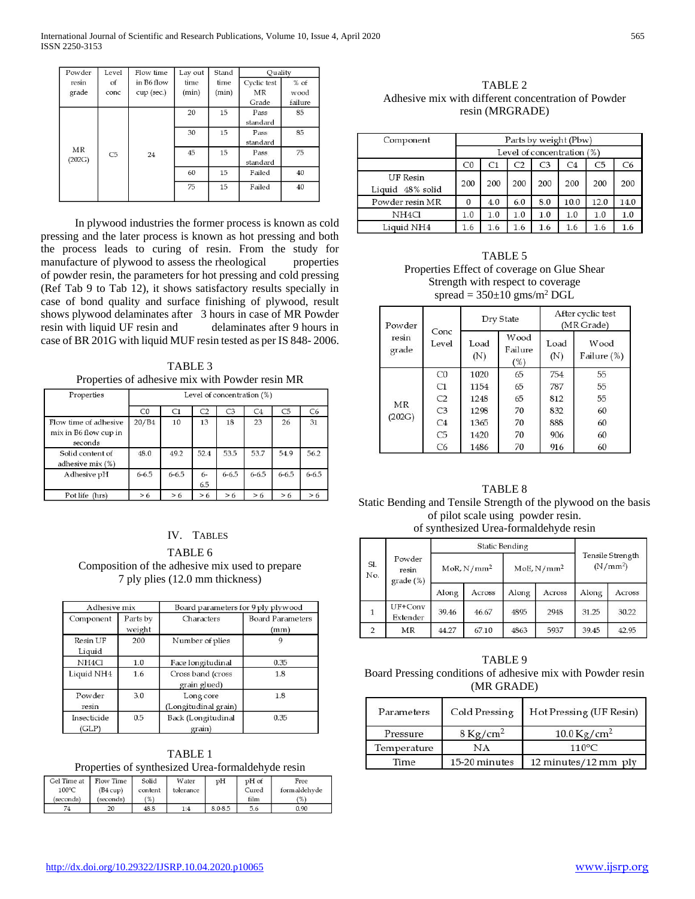| Powder         | Level          | Flow time                | Lay out       | Stand         | Quality                    |                           |
|----------------|----------------|--------------------------|---------------|---------------|----------------------------|---------------------------|
| resin<br>grade | of<br>conc     | in B6 flow<br>cup (sec.) | time<br>(min) | time<br>(min) | Cyclic test<br>MR<br>Grade | $%$ of<br>wood<br>failure |
|                |                |                          | 20            | 15            | Pass<br>standard           | 85                        |
|                |                |                          | 30            | 15            | Pass<br>standard           | 85                        |
| MR<br>(202G)   | C <sub>5</sub> | 24                       | 45            | 15            | Pass<br>standard           | 75                        |
|                |                |                          | 60            | 15            | Failed                     | 40                        |
|                |                |                          | 75            | 15            | Failed                     | 40                        |

 In plywood industries the former process is known as cold pressing and the later process is known as hot pressing and both the process leads to curing of resin. From the study for manufacture of plywood to assess the rheological properties of powder resin, the parameters for hot pressing and cold pressing (Ref Tab 9 to Tab 12), it shows satisfactory results specially in case of bond quality and surface finishing of plywood, result shows plywood delaminates after 3 hours in case of MR Powder resin with liquid UF resin and delaminates after 9 hours in case of BR 201G with liquid MUF resin tested as per IS 848- 2006.

TABLE 3 Properties of adhesive mix with Powder resin MR

| Properties                                                | Level of concentration (%) |           |                |                |                |           |           |  |
|-----------------------------------------------------------|----------------------------|-----------|----------------|----------------|----------------|-----------|-----------|--|
|                                                           | CO                         | C1        | C <sub>2</sub> | C <sub>3</sub> | C <sub>4</sub> | C5        | C6        |  |
| Flow time of adhesive<br>mix in B6 flow cup in<br>seconds | 20/B4                      | 10        | 13             | 18             | 23             | 26        | 31        |  |
| Solid content of<br>adhesive mix (%)                      | 48.0                       | 49.2      | 52.4           | 53.5           | 53.7           | 54.9      | 56.2      |  |
| Adhesive pH                                               | $6 - 6.5$                  | $6 - 6.5$ | $6-$<br>6.5    | $6 - 6.5$      | $6 - 6.5$      | $6 - 6.5$ | $6 - 6.5$ |  |
| Pot life (hrs)                                            | > 6                        | >6        | > 6            | >6             | > 6            | > 6       | > 6       |  |

# IV. TABLES

TABLE 6 Composition of the adhesive mix used to prepare 7 ply plies (12.0 mm thickness)

| Adhesive mix         |                    | Board parameters for 9 ply plywood |                                 |  |  |
|----------------------|--------------------|------------------------------------|---------------------------------|--|--|
| Component            | Parts by<br>weight | Characters                         | <b>Board Parameters</b><br>(mm) |  |  |
| Resin UF<br>Liquid   | 200                | Number of plies                    | 9                               |  |  |
| NH <sub>4</sub> Cl   | 1.0                | Face longitudinal                  | 0.35                            |  |  |
| Liquid NH4           | 1.6                | Cross band (cross<br>grain glued)  | 1.8                             |  |  |
| Powder<br>resin      | 3.0                | Long core<br>(Longitudinal grain)  | 1.8                             |  |  |
| Insecticide<br>(GLP) | 0.5                | Back (Longitudinal<br>grain)       | 0.35                            |  |  |

TABLE 1 Properties of synthesized Urea-formaldehyde resin

| Gel Time at<br>100°C<br>(seconds) | Flow Time<br>(B4 cup)<br>(seconds) | Solid<br>content<br>(%) | Water<br>tolerance | pH      | pH of<br>Cured<br>film | Free<br>formaldehyde<br>(% ) |
|-----------------------------------|------------------------------------|-------------------------|--------------------|---------|------------------------|------------------------------|
| 74                                |                                    | 48.8                    | 1:4                | 8.0-8.5 | 5.6                    | 0.90                         |

TABLE 2 Adhesive mix with different concentration of Powder resin (MRGRADE)

| Component                           | Parts by weight (Pbw) |                            |     |                |                |                |      |
|-------------------------------------|-----------------------|----------------------------|-----|----------------|----------------|----------------|------|
|                                     |                       | Level of concentration (%) |     |                |                |                |      |
|                                     | CO                    | C1                         | C2  | C <sub>3</sub> | C <sub>4</sub> | C <sub>5</sub> | C6   |
| <b>UF</b> Resin<br>Liquid 48% solid | 200                   | 200                        | 200 | 200            | 200            | 200            | 200  |
| Powder resin MR                     | 0                     | 4.0                        | 6.0 | 8.0            | 10.0           | 12.0           | 14.0 |
| NH <sub>4</sub> Cl                  | 1.0                   | 1.0                        | 1.0 | 1.0            | 1.0            | 1.0            | 1.0  |
| Liquid NH4                          | 1.6                   | 1.6                        | 1.6 | 1.6            | 1.6            | 1.6            |      |

TABLE 5 Properties Effect of coverage on Glue Shear Strength with respect to coverage spread =  $350\pm10$  gms/m<sup>2</sup> DGL

| Powder         |                | Dry State   |                        | After cyclic test<br>(MR Grade) |                     |  |
|----------------|----------------|-------------|------------------------|---------------------------------|---------------------|--|
| resin<br>grade | Conc<br>Level  | Load<br>(N) | Wood<br>Failure<br>(%) | Load<br>(N)                     | Wood<br>Failure (%) |  |
|                | CO             | 1020        | 65                     | 754                             | 55                  |  |
|                | C1             | 1154        | 65                     | 787                             | 55                  |  |
| MR             | C2             | 1248        | 65                     | 812                             | 55                  |  |
| (202G)         | C <sub>3</sub> | 1298        | 70                     | 832                             | 60                  |  |
|                | C <sub>4</sub> | 1365        | 70                     | 888                             | 60                  |  |
|                | C <sub>5</sub> | 1420        | 70                     | 906                             | 60                  |  |
|                | C6             | 1486        | 70                     | 916                             | 60                  |  |

# TABLE 8 Static Bending and Tensile Strength of the plywood on the basis of pilot scale using powder resin. of synthesized Urea-formaldehyde resin

|                |                                |                 | <b>Static Bending</b> |                        |        |                                                 |        |
|----------------|--------------------------------|-----------------|-----------------------|------------------------|--------|-------------------------------------------------|--------|
| Sl.<br>No.     | Powder<br>resin<br>$grade$ (%) | $M$ oR, $N/mm2$ |                       | MoE, N/mm <sup>2</sup> |        | <b>Tensile Strength</b><br>(N/mm <sup>2</sup> ) |        |
|                |                                | Along           | Across                | Along                  | Across | Along                                           | Across |
| $\mathbf{1}$   | $UF+Conv$<br>Extender          | 39.46           | 46.67                 | 4895                   | 2948   | 31.25                                           | 30.22  |
| $\overline{2}$ | MR                             | 44.27           | 67.10                 | 4863                   | 5937   | 39.45                                           | 42.95  |

TABLE 9 Board Pressing conditions of adhesive mix with Powder resin (MR GRADE)

| Parameters  | Cold Pressing      | Hot Pressing (UF Resin)   |
|-------------|--------------------|---------------------------|
| Pressure    | $8 \text{Kg/cm}^2$ | $10.0 \,\mathrm{Kg/cm^2}$ |
| Temperature | NΑ                 | $110^{\circ}$ C           |
| Time        | 15-20 minutes      | 12 minutes/12 mm ply      |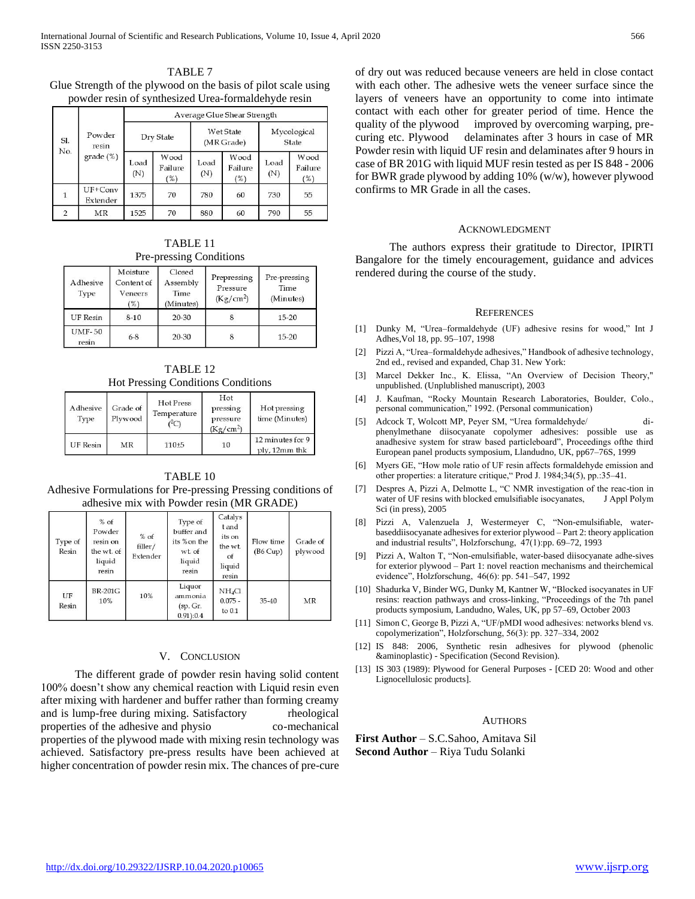TABLE 7 Glue Strength of the plywood on the basis of pilot scale using powder resin of synthesized Urea-formaldehyde resin

|             |                       | Average Glue Shear Strength |                        |             |                        |                                |                        |                      |  |
|-------------|-----------------------|-----------------------------|------------------------|-------------|------------------------|--------------------------------|------------------------|----------------------|--|
| SI.         | Powder<br>resin       | Dry State                   |                        |             |                        | <b>Wet State</b><br>(MR Grade) |                        | Mycological<br>State |  |
| No.         | $grade$ (%)           | Load<br>(N)                 | Wood<br>Failure<br>(%) | Load<br>(N) | Wood<br>Failure<br>(%) | Load<br>(N)                    | Wood<br>Failure<br>(%) |                      |  |
| $\mathbf 1$ | $UF+Conv$<br>Extender | 1375                        | 70                     | 780         | 60                     | 730                            | 55                     |                      |  |
|             | MR                    | 1525                        | 70                     | 880         | 60                     | 790                            | 55                     |                      |  |

TABLE 11 Pre-pressing Conditions

| Adhesive<br>Type       | Moisture<br>Content of<br>Veneers<br>(%) | Closed<br>Assembly<br>Time<br>(Minutes) | Prepressing<br>Pressure<br>(Kg/cm <sup>2</sup> ) | Pre-pressing<br>Time<br>(Minutes) |
|------------------------|------------------------------------------|-----------------------------------------|--------------------------------------------------|-----------------------------------|
| <b>UF</b> Resin        | $8 - 10$                                 | 20-30                                   |                                                  | $15 - 20$                         |
| <b>UMF-50</b><br>resin | $6 - 8$                                  | 20-30                                   | 8                                                | $15 - 20$                         |

| TABLE <sub>12</sub>                       |
|-------------------------------------------|
| <b>Hot Pressing Conditions Conditions</b> |

| Adhesive<br>Type      | Grade of<br>Plywood | <b>Hot Press</b><br>Temperature<br>$(^0C)$ | Hot<br>pressing<br>pressure<br>(Kg/cm <sup>2</sup> ) | Hot pressing<br>time (Minutes)    |  |
|-----------------------|---------------------|--------------------------------------------|------------------------------------------------------|-----------------------------------|--|
| <b>UF</b> Resin<br>MR |                     | $110 + 5$                                  | 10                                                   | 12 minutes for 9<br>ply, 12mm thk |  |

TABLE 10 Adhesive Formulations for Pre-pressing Pressing conditions of adhesive mix with Powder resin (MR GRADE)

| Type of<br>Resin | $%$ of<br>Powder<br>resin on<br>the wt. of<br>liquid<br>resin | $%$ of<br>filler/<br>Extender | Type of<br>buffer and<br>its % on the<br>wt. of<br>liquid<br>resin | Catalys<br>tand<br>its on<br>the wt.<br>οf<br>liquid<br>resin | Flow time<br>(B6 Cup) | Grade of<br>plywood |
|------------------|---------------------------------------------------------------|-------------------------------|--------------------------------------------------------------------|---------------------------------------------------------------|-----------------------|---------------------|
| UF<br>Resin      | <b>BR-201G</b><br>10%                                         | 10%                           | Liquor<br>ammonia<br>(sp. Gr.<br>0.91):0.4                         | NH <sub>4</sub> Cl<br>$0.075 -$<br>to $0.1$                   | $35 - 40$             | <b>MR</b>           |

#### V. CONCLUSION

 The different grade of powder resin having solid content 100% doesn't show any chemical reaction with Liquid resin even after mixing with hardener and buffer rather than forming creamy and is lump-free during mixing. Satisfactory rheological properties of the adhesive and physio co-mechanical properties of the plywood made with mixing resin technology was achieved. Satisfactory pre-press results have been achieved at higher concentration of powder resin mix. The chances of pre-cure

of dry out was reduced because veneers are held in close contact with each other. The adhesive wets the veneer surface since the layers of veneers have an opportunity to come into intimate contact with each other for greater period of time. Hence the quality of the plywood improved by overcoming warping, precuring etc. Plywood delaminates after 3 hours in case of MR Powder resin with liquid UF resin and delaminates after 9 hours in case of BR 201G with liquid MUF resin tested as per IS 848 - 2006 for BWR grade plywood by adding 10% (w/w), however plywood confirms to MR Grade in all the cases.

#### ACKNOWLEDGMENT

 The authors express their gratitude to Director, IPIRTI Bangalore for the timely encouragement, guidance and advices rendered during the course of the study.

#### **REFERENCES**

- [1] Dunky M, "Urea–formaldehyde (UF) adhesive resins for wood," Int J Adhes,Vol 18, pp. 95–107, 1998
- [2] Pizzi A, "Urea–formaldehyde adhesives," Handbook of adhesive technology, 2nd ed., revised and expanded, Chap 31. New York:
- [3] Marcel Dekker Inc., K. Elissa, "An Overview of Decision Theory," unpublished. (Unplublished manuscript), 2003
- [4] J. Kaufman, "Rocky Mountain Research Laboratories, Boulder, Colo., personal communication," 1992. (Personal communication)
- [5] Adcock T, Wolcott MP, Peyer SM, "Urea formaldehyde/ diphenylmethane diisocyanate copolymer adhesives: possible use as anadhesive system for straw based particleboard", Proceedings ofthe third European panel products symposium, Llandudno, UK, pp67–76S, 1999
- [6] Myers GE, "How mole ratio of UF resin affects formaldehyde emission and other properties: a literature critique," Prod J. 1984;34(5), pp.:35–41.
- [7] Despres A, Pizzi A, Delmotte L, "C NMR investigation of the reac-tion in water of UF resins with blocked emulsifiable isocyanates, J Appl Polym Sci (in press), 2005
- [8] Pizzi A, Valenzuela J, Westermeyer C, "Non-emulsifiable, waterbaseddiisocyanate adhesives for exterior plywood – Part 2: theory application and industrial results", Holzforschung, 47(1):pp. 69–72, 1993
- [9] Pizzi A, Walton T, "Non-emulsifiable, water-based diisocyanate adhe-sives for exterior plywood – Part 1: novel reaction mechanisms and theirchemical evidence", Holzforschung, 46(6): pp. 541–547, 1992
- [10] Shadurka V, Binder WG, Dunky M, Kantner W, "Blocked isocyanates in UF resins: reaction pathways and cross-linking, "Proceedings of the 7th panel products symposium, Landudno, Wales, UK, pp 57–69, October 2003
- [11] Simon C, George B, Pizzi A, "UF/pMDI wood adhesives: networks blend vs. copolymerization", Holzforschung, 56(3): pp. 327–334, 2002
- [12] IS 848: 2006, Synthetic resin adhesives for plywood (phenolic &aminoplastic) - Specification (Second Revision).
- [13] IS 303 (1989): Plywood for General Purposes [CED 20: Wood and other Lignocellulosic products].

#### **AUTHORS**

**First Author** – S.C.Sahoo, Amitava Sil **Second Author** – Riya Tudu Solanki